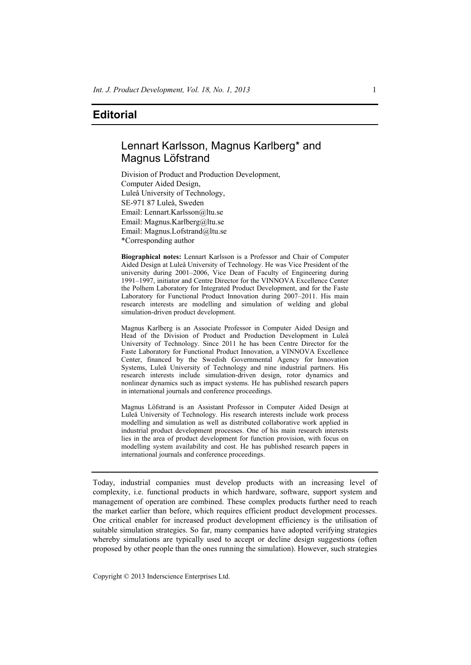## **Editorial**

## Lennart Karlsson, Magnus Karlberg\* and Magnus Löfstrand

Division of Product and Production Development, Computer Aided Design, Luleå University of Technology, SE-971 87 Luleå, Sweden Email: Lennart.Karlsson@ltu.se Email: Magnus.Karlberg@ltu.se Email: Magnus.Lofstrand@ltu.se \*Corresponding author

**Biographical notes:** Lennart Karlsson is a Professor and Chair of Computer Aided Design at Luleå University of Technology. He was Vice President of the university during 2001–2006, Vice Dean of Faculty of Engineering during 1991–1997, initiator and Centre Director for the VINNOVA Excellence Center the Polhem Laboratory for Integrated Product Development, and for the Faste Laboratory for Functional Product Innovation during 2007–2011. His main research interests are modelling and simulation of welding and global simulation-driven product development.

Magnus Karlberg is an Associate Professor in Computer Aided Design and Head of the Division of Product and Production Development in Luleå University of Technology. Since 2011 he has been Centre Director for the Faste Laboratory for Functional Product Innovation, a VINNOVA Excellence Center, financed by the Swedish Governmental Agency for Innovation Systems, Luleå University of Technology and nine industrial partners. His research interests include simulation-driven design, rotor dynamics and nonlinear dynamics such as impact systems. He has published research papers in international journals and conference proceedings.

Magnus Löfstrand is an Assistant Professor in Computer Aided Design at Luleå University of Technology. His research interests include work process modelling and simulation as well as distributed collaborative work applied in industrial product development processes. One of his main research interests lies in the area of product development for function provision, with focus on modelling system availability and cost. He has published research papers in international journals and conference proceedings.

Today, industrial companies must develop products with an increasing level of complexity, i.e. functional products in which hardware, software, support system and management of operation are combined. These complex products further need to reach the market earlier than before, which requires efficient product development processes. One critical enabler for increased product development efficiency is the utilisation of suitable simulation strategies. So far, many companies have adopted verifying strategies whereby simulations are typically used to accept or decline design suggestions (often proposed by other people than the ones running the simulation). However, such strategies

Copyright © 2013 Inderscience Enterprises Ltd.